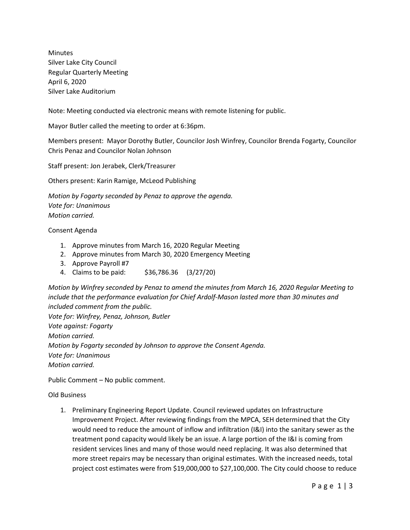Minutes Silver Lake City Council Regular Quarterly Meeting April 6, 2020 Silver Lake Auditorium

Note: Meeting conducted via electronic means with remote listening for public.

Mayor Butler called the meeting to order at 6:36pm.

Members present: Mayor Dorothy Butler, Councilor Josh Winfrey, Councilor Brenda Fogarty, Councilor Chris Penaz and Councilor Nolan Johnson

Staff present: Jon Jerabek, Clerk/Treasurer

Others present: Karin Ramige, McLeod Publishing

*Motion by Fogarty seconded by Penaz to approve the agenda. Vote for: Unanimous Motion carried.*

Consent Agenda

- 1. Approve minutes from March 16, 2020 Regular Meeting
- 2. Approve minutes from March 30, 2020 Emergency Meeting
- 3. Approve Payroll #7
- 4. Claims to be paid: \$36,786.36 (3/27/20)

*Motion by Winfrey seconded by Penaz to amend the minutes from March 16, 2020 Regular Meeting to include that the performance evaluation for Chief Ardolf-Mason lasted more than 30 minutes and included comment from the public. Vote for: Winfrey, Penaz, Johnson, Butler Vote against: Fogarty Motion carried. Motion by Fogarty seconded by Johnson to approve the Consent Agenda. Vote for: Unanimous Motion carried.*

Public Comment – No public comment.

Old Business

1. Preliminary Engineering Report Update. Council reviewed updates on Infrastructure Improvement Project. After reviewing findings from the MPCA, SEH determined that the City would need to reduce the amount of inflow and infiltration (I&I) into the sanitary sewer as the treatment pond capacity would likely be an issue. A large portion of the I&I is coming from resident services lines and many of those would need replacing. It was also determined that more street repairs may be necessary than original estimates. With the increased needs, total project cost estimates were from \$19,000,000 to \$27,100,000. The City could choose to reduce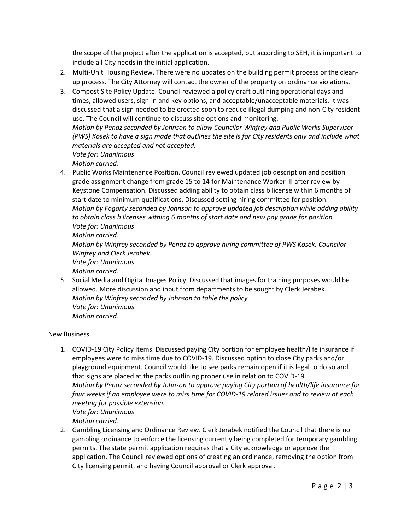the scope of the project after the application is accepted, but according to SEH, it is important to include all City needs in the initial application.

- 2. Multi-Unit Housing Review. There were no updates on the building permit process or the cleanup process. The City Attorney will contact the owner of the property on ordinance violations.
- 3. Compost Site Policy Update. Council reviewed a policy draft outlining operational days and times, allowed users, sign-in and key options, and acceptable/unacceptable materials. It was discussed that a sign needed to be erected soon to reduce illegal dumping and non-City resident use. The Council will continue to discuss site options and monitoring. *Motion by Penaz seconded by Johnson to allow Councilor Winfrey and Public Works Supervisor (PWS) Kosek to have a sign made that outlines the site is for City residents only and include what materials are accepted and not accepted. Vote for: Unanimous*

*Motion carried.*

4. Public Works Maintenance Position. Council reviewed updated job description and position grade assignment change from grade 15 to 14 for Maintenance Worker III after review by Keystone Compensation. Discussed adding ability to obtain class b license within 6 months of start date to minimum qualifications. Discussed setting hiring committee for position. *Motion by Fogarty seconded by Johnson to approve updated job description while adding ability to obtain class b licenses withing 6 months of start date and new pay grade for position. Vote for: Unanimous Motion carried.*

*Motion by Winfrey seconded by Penaz to approve hiring committee of PWS Kosek, Councilor Winfrey and Clerk Jerabek.*

*Vote for: Unanimous*

*Motion carried.*

5. Social Media and Digital Images Policy. Discussed that images for training purposes would be allowed. More discussion and input from departments to be sought by Clerk Jerabek. *Motion by Winfrey seconded by Johnson to table the policy. Vote for: Unanimous Motion carried.*

New Business

- 1. COVID-19 City Policy Items. Discussed paying City portion for employee health/life insurance if employees were to miss time due to COVID-19. Discussed option to close City parks and/or playground equipment. Council would like to see parks remain open if it is legal to do so and that signs are placed at the parks outlining proper use in relation to COVID-19. *Motion by Penaz seconded by Johnson to approve paying City portion of health/life insurance for four weeks if an employee were to miss time for COVID-19 related issues and to review at each meeting for possible extension. Vote for: Unanimous Motion carried.*
- 2. Gambling Licensing and Ordinance Review. Clerk Jerabek notified the Council that there is no gambling ordinance to enforce the licensing currently being completed for temporary gambling permits. The state permit application requires that a City acknowledge or approve the application. The Council reviewed options of creating an ordinance, removing the option from City licensing permit, and having Council approval or Clerk approval.